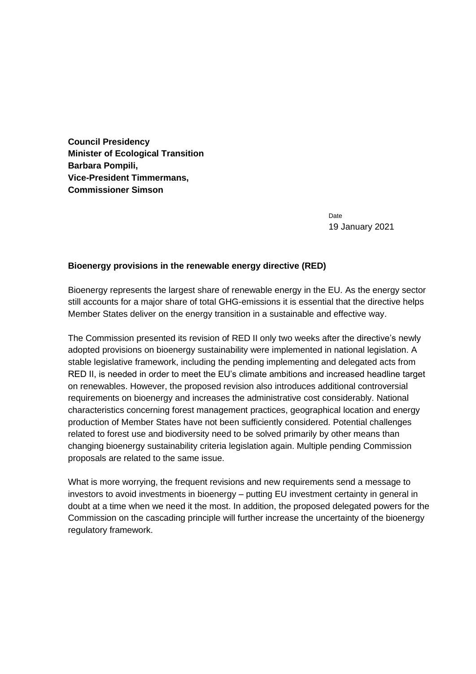**Council Presidency Minister of Ecological Transition Barbara Pompili, Vice-President Timmermans, Commissioner Simson**

> **Date** 19 January 2021

## **Bioenergy provisions in the renewable energy directive (RED)**

Bioenergy represents the largest share of renewable energy in the EU. As the energy sector still accounts for a major share of total GHG-emissions it is essential that the directive helps Member States deliver on the energy transition in a sustainable and effective way.

The Commission presented its revision of RED II only two weeks after the directive's newly adopted provisions on bioenergy sustainability were implemented in national legislation. A stable legislative framework, including the pending implementing and delegated acts from RED II, is needed in order to meet the EU's climate ambitions and increased headline target on renewables. However, the proposed revision also introduces additional controversial requirements on bioenergy and increases the administrative cost considerably. National characteristics concerning forest management practices, geographical location and energy production of Member States have not been sufficiently considered. Potential challenges related to forest use and biodiversity need to be solved primarily by other means than changing bioenergy sustainability criteria legislation again. Multiple pending Commission proposals are related to the same issue.

What is more worrying, the frequent revisions and new requirements send a message to investors to avoid investments in bioenergy – putting EU investment certainty in general in doubt at a time when we need it the most. In addition, the proposed delegated powers for the Commission on the cascading principle will further increase the uncertainty of the bioenergy regulatory framework.